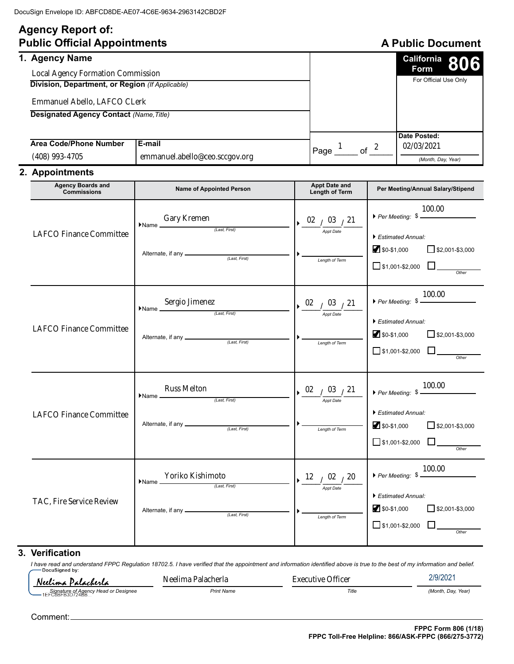# **Agency Report of:**

| <b>Public Official Appointments</b>                                                                                                                                                             |                                            |      | <b>A Public Document</b> |                                                        |  |
|-------------------------------------------------------------------------------------------------------------------------------------------------------------------------------------------------|--------------------------------------------|------|--------------------------|--------------------------------------------------------|--|
| 1. Agency Name<br><b>Local Agency Formation Commission</b><br>Division, Department, or Region (If Applicable)<br>Emmanuel Abello, LAFCO CLerk<br><b>Designated Agency Contact (Name, Title)</b> |                                            |      |                          | California 806<br><b>Form</b><br>For Official Use Only |  |
| Area Code/Phone Number<br>$(408)$ 993-4705                                                                                                                                                      | l E-mail<br>emmanuel.abello@ceo.sccgov.org | Page | of                       | Date Posted:<br>02/03/2021<br>(Month, Day, Year)       |  |

# **2. Appointments**

| <b>Agency Boards and</b><br><b>Commissions</b> | <b>Name of Appointed Person</b>                                                                                                                                                                   | <b>Appt Date and</b><br><b>Length of Term</b>                                                                                     | Per Meeting/Annual Salary/Stipend                                                                                                                           |
|------------------------------------------------|---------------------------------------------------------------------------------------------------------------------------------------------------------------------------------------------------|-----------------------------------------------------------------------------------------------------------------------------------|-------------------------------------------------------------------------------------------------------------------------------------------------------------|
| <b>LAFCO Finance Committee</b>                 | $\begin{minipage}{.4\linewidth} \begin{tabular}{l} \hline \textbf{Gary Kremen} \end{tabular} \end{minipage}$<br>Name                                                                              | $\frac{02}{10^{3}}$ $\frac{03}{10^{2}}$<br>Lenath of Term                                                                         | 100.00<br>$\blacktriangleright$ Estimated Annual:<br>$$0-$1,000$<br>$\Box$ \$2,001-\$3,000<br>$\Box$ \$1,001-\$2,000 $\Box$                                 |
| <b>LAFCO Finance Committee</b>                 | $\blacktriangleright \textsf{Name} \xrightarrow{\textsf{Sergio Jimenez}} \underbrace{\textsf{IimesI}}_{\textit{(Last, First)}}$                                                                   | $\triangleright \frac{02}{\frac{2}{\text{Appt Date}}}\frac{03}{21}$<br>Length of Term                                             | $\triangleright$ Per Meeting: $\frac{100.00}{\cdot}$<br>Estimated Annual:<br>$$0-$1,000$<br>$\Box$ \$2,001-\$3,000<br>$\Box$ \$1,001-\$2,000 $\Box$         |
| <b>LAFCO Finance Committee</b>                 | $\begin{tabular}{ll} \hline \textbf{Russ Melton} & \textbf{\\ \textcolor{red}{\textbf{Name}} & \textbf{\\ \textbf{1}_{\textit{ast, First}} & \textbf{1}_{\textit{first}} \\ \hline \end{tabular}$ | $\triangleright \frac{02}{\frac{1}{\text{Appt Date}}}\frac{03}{21}$<br>Length of Term                                             | ▶ Per Meeting: $\frac{100.00}{\frac{1}{200}}$<br>$\blacktriangleright$ Estimated Annual:<br>$$0-$1,000$<br>$\Box$ \$2,001-\$3,000<br>$\Box$ \$1,001-\$2,000 |
| TAC, Fire Service Review                       | $\frac{\text{Yoriko Kishimoto}}{\text{\\it (Last, First)}}$<br>$\blacktriangleright$ Name $\_\_$                                                                                                  | $\triangleright$ $\frac{12}{\frac{1}{\text{Appt Date}}}/\frac{20}{\frac{20}{\text{2}}}{\frac{1}{\frac{1}{2}}}}$<br>Length of Term | ▶ Per Meeting: $$ \frac{100.00}{2}$<br>Estimated Annual:<br>$$0-$1,000$<br>$\Box$ \$2,001-\$3,000<br>$\Box$ \$1,001-\$2,000 $\Box$<br>Other                 |

## **3. Verification**

*I have read and understand FPPC Regulation 18702.5. I have verified that the appointment and information identified above is true to the best of my information and belief.* Neelima Palacherla Executive Officer

Neelima Palacherla

| ' Head or Designee<br>Signature of Agency H<br>$\overline{\phantom{0}}$<br>1EF<br>-B3D724BB<br>C8BFB." | Print Name | Title | (Month<br>Year.<br>Dav. |
|--------------------------------------------------------------------------------------------------------|------------|-------|-------------------------|

Comment: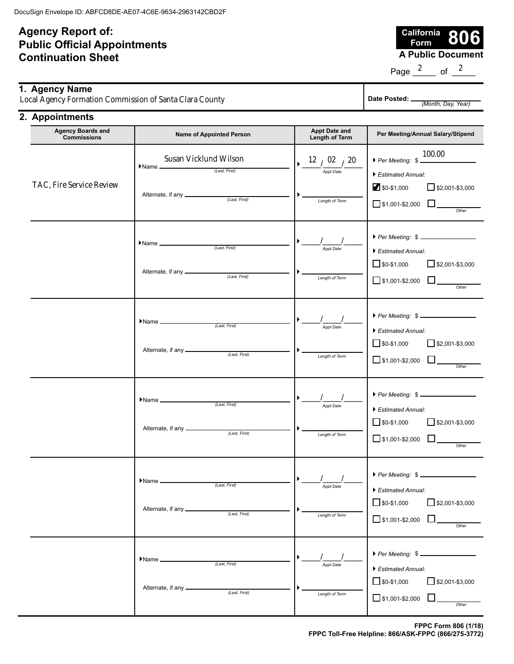# **Agency Report of: Public Official Appointments Continuation Sheet**

**California Form 8000**<br>**A Public Document** 

Page  $\frac{2}{2}$  of  $\frac{2}{2}$ 

| 1. Agency Name<br>Local Agency Formation Commission of Santa Clara County |                                         |                                 | Date Posted: _<br>(Month, Day, Year)   |                                   |
|---------------------------------------------------------------------------|-----------------------------------------|---------------------------------|----------------------------------------|-----------------------------------|
| 2. Appointments                                                           |                                         |                                 |                                        |                                   |
|                                                                           | <b>Agency Boards and</b><br>Commiccione | <b>Name of Appointed Person</b> | <b>Appt Date and</b><br>Lonath of Torm | Per Meeting/Annual Salary/Stipend |

| $\sim$ gonoj podrao ana<br><b>Commissions</b> | <b>Name of Appointed Person</b>                                                                                                      | Tipps pass and<br>Length of Term                              | Per Meeting/Annual Salary/Stipend                                                                                                                            |
|-----------------------------------------------|--------------------------------------------------------------------------------------------------------------------------------------|---------------------------------------------------------------|--------------------------------------------------------------------------------------------------------------------------------------------------------------|
| TAC, Fire Service Review                      | Susan Vicklund Wilson<br>$\blacktriangleright$ Name $\blacksquare$<br>(Last, First)                                                  | $\rightarrow$ 12 $/$ 02 $/$ 20<br>Appt Date<br>Length of Term | 100.00<br>$\triangleright$ Per Meeting: $\frac{100.000}{2}$<br>Estimated Annual:<br>$\sqrt{$}3,001 - $3,000$<br>$$0-$1,000$<br>$\Box$ \$1,001-\$2,000 $\Box$ |
|                                               | $\blacktriangleright$ Name $\sqrt{$ (Last, First)                                                                                    | Appt Date<br>Length of Term                                   | Per Meeting: \$<br>Estimated Annual:<br>$\Box$ \$0-\$1,000<br>$\Box$ \$2,001-\$3,000<br>$\Box$ \$1,001-\$2,000 $\Box$<br>Other                               |
|                                               | $\blacktriangleright$ Name $\sqrt{$ <i>Last, First</i> )                                                                             | Appt Date<br>Length of Term                                   | $\triangleright$ Per Meeting: $\$$ ________________<br>Estimated Annual:<br>$\sqrt{\$0 - $1,000}$<br>$\Box$ \$2,001-\$3,000<br>$\Box$ \$1,001-\$2,000 $\Box$ |
|                                               | $\blacktriangleright$ Name $\_\_\_\_\_\_\_\_\_$<br>(Last, First)                                                                     | Appt Date<br>Length of Term                                   | ▶ Per Meeting: \$<br>Estimated Annual:<br>$\sqrt{$2,001 - $3,000}$<br>$\Box$ \$0-\$1,000<br>$\Box$ \$1,001-\$2,000 $\Box$<br>Other                           |
|                                               | $\blacktriangleright$ Name $\_\_\_\_\_\_\_\_\_\_\_\_\_\_\_\_\_\_\_\_\_$<br>(Last, First)<br>Alternate, if any _____<br>(Last, First) | Appt Date<br>Length of Term                                   | $\triangleright$ Per Meeting: $\frac{1}{2}$<br>Estimated Annual:<br>$\sqrt{$0.51,000}$<br>$\sqrt{$}3,001 - $3,000$<br>$\Box$ \$1,001-\$2,000<br>Other        |
|                                               | $\blacktriangleright$ Name $\blacktriangle$<br>(Last, First)<br>Alternate, if any __<br>(Last, First)                                | Appt Date<br>Length of Term                                   | $\triangleright$ Per Meeting: $\frac{1}{2}$<br>Estimated Annual:<br>$\Box$ \$2,001-\$3,000<br>$\Box$ \$0-\$1,000<br>$\Box$ \$1,001-\$2,000<br>Other          |